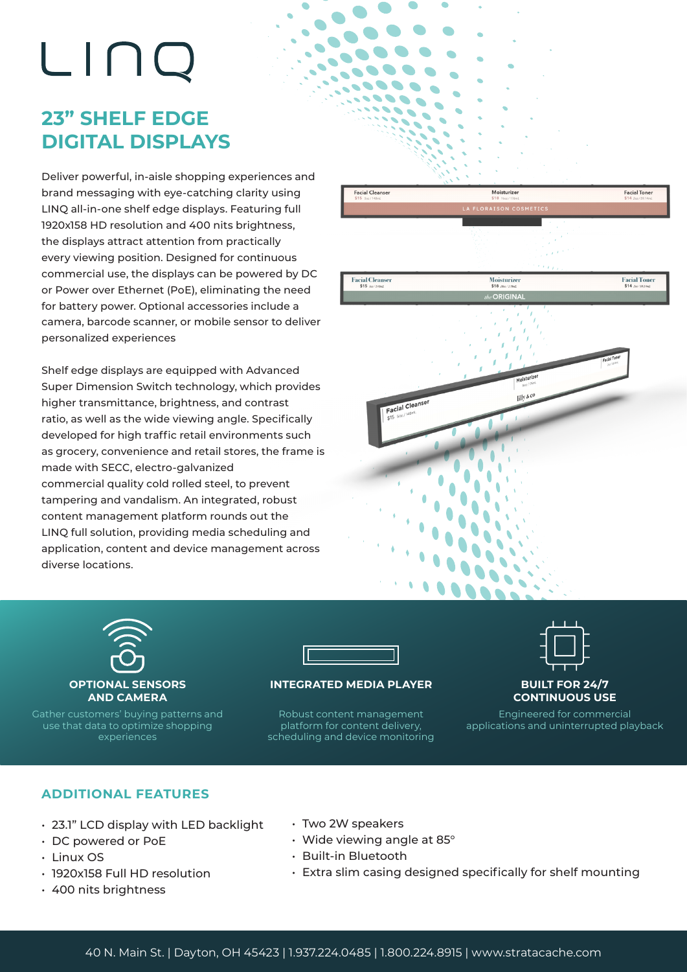# LINQ

## **23" SHELF EDGE DIGITAL DISPLAYS**

Deliver powerful, in-aisle shopping experiences and brand messaging with eye-catching clarity using LINQ all-in-one shelf edge displays. Featuring full 1920x158 HD resolution and 400 nits brightness, the displays attract attention from practically every viewing position. Designed for continuous commercial use, the displays can be powered by DC or Power over Ethernet (PoE), eliminating the need for battery power. Optional accessories include a camera, barcode scanner, or mobile sensor to deliver personalized experiences

Shelf edge displays are equipped with Advanced Super Dimension Switch technology, which provides higher transmittance, brightness, and contrast ratio, as well as the wide viewing angle. Specifically developed for high traffic retail environments such as grocery, convenience and retail stores, the frame is made with SECC, electro-galvanized commercial quality cold rolled steel, to prevent tampering and vandalism. An integrated, robust content management platform rounds out the LINQ full solution, providing media scheduling and application, content and device management across diverse locations.





Gather customers' buying patterns and use that data to optimize shopping experiences



#### **INTEGRATED MEDIA PLAYER**

Robust content management platform for content delivery, scheduling and device monitoring



Engineered for commercial applications and uninterrupted playback

#### **ADDITIONAL FEATURES**

- 23.1" LCD display with LED backlight
- DC powered or PoE
- Linux OS
- 1920x158 Full HD resolution
- 400 nits brightness
- Two 2W speakers
- Wide viewing angle at 85°
- Built-in Bluetooth
- Extra slim casing designed specifically for shelf mounting